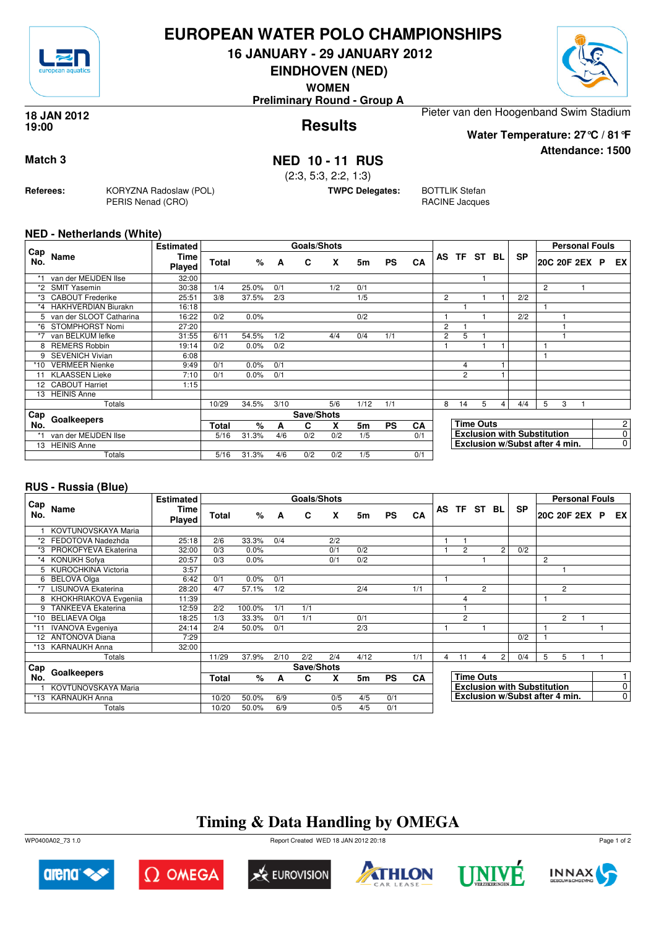

## **EUROPEAN WATER POLO CHAMPIONSHIPS**

**16 JANUARY - 29 JANUARY 2012**

**EINDHOVEN (NED)**

**WOMEN**

**Preliminary Round - Group A**

#### **Results 18 JAN 2012 19:00**

Pieter van den Hoogenband Swim Stadium

**Water Temperature: 27°C / 81°F**

**Match 3 NED 10 - 11 RUS**

(2:3, 5:3, 2:2, 1:3)

**TWPC Delegates:** BOTTLIK Stefan

RACINE Jacques

## **NED - Netherlands (White)**

**Referees:** KORYZNA Radoslaw (POL)

PERIS Nenad (CRO)

|             |                           | <b>Estimated</b> |       |       |      | <b>Goals/Shots</b> |     |      |           |           |                |                |                  |   |                                    |   |   | <b>Personal Fouls</b> |                |
|-------------|---------------------------|------------------|-------|-------|------|--------------------|-----|------|-----------|-----------|----------------|----------------|------------------|---|------------------------------------|---|---|-----------------------|----------------|
| ∟Cap<br>No. | Name                      | Time<br>Played   | Total | %     | A    | C                  | X   | 5m   | <b>PS</b> | CA        |                | AS TF ST BL    |                  |   | <b>SP</b>                          |   |   | 20C 20F 2EX P         | EX.            |
| $*1$        | van der MEIJDEN Ilse      | 32:00            |       |       |      |                    |     |      |           |           |                |                |                  |   |                                    |   |   |                       |                |
| $*2$        | <b>SMIT Yasemin</b>       | 30:38            | 1/4   | 25.0% | 0/1  |                    | 1/2 | 0/1  |           |           |                |                |                  |   |                                    | 2 |   |                       |                |
| *3          | <b>CABOUT Frederike</b>   | 25:51            | 3/8   | 37.5% | 2/3  |                    |     | 1/5  |           |           | $\overline{2}$ |                |                  |   | 2/2                                |   |   |                       |                |
|             | *4 HAKHVERDIAN Biurakn    | 16:18            |       |       |      |                    |     |      |           |           |                |                |                  |   |                                    |   |   |                       |                |
|             | 5 van der SLOOT Catharina | 16:22            | 0/2   | 0.0%  |      |                    |     | 0/2  |           |           |                |                |                  |   | 2/2                                |   |   |                       |                |
| *6          | STOMPHORST Nomi           | 27:20            |       |       |      |                    |     |      |           |           | 2              |                |                  |   |                                    |   |   |                       |                |
| *7          | van BELKUM lefke          | 31:55            | 6/11  | 54.5% | 1/2  |                    | 4/4 | 0/4  | 1/1       |           | 2              | 5              |                  |   |                                    |   |   |                       |                |
| 8           | <b>REMERS Robbin</b>      | 19:14            | 0/2   | 0.0%  | 0/2  |                    |     |      |           |           |                |                |                  |   |                                    |   |   |                       |                |
| 9           | <b>SEVENICH Vivian</b>    | 6:08             |       |       |      |                    |     |      |           |           |                |                |                  |   |                                    |   |   |                       |                |
| *10         | <b>VERMEER Nienke</b>     | 9:49             | 0/1   | 0.0%  | 0/1  |                    |     |      |           |           |                | 4              |                  |   |                                    |   |   |                       |                |
| 11          | <b>KLAASSEN Lieke</b>     | 7:10             | 0/1   | 0.0%  | 0/1  |                    |     |      |           |           |                | $\overline{2}$ |                  |   |                                    |   |   |                       |                |
|             | 12 CABOUT Harriet         | 1:15             |       |       |      |                    |     |      |           |           |                |                |                  |   |                                    |   |   |                       |                |
| 13          | <b>HEINIS Anne</b>        |                  |       |       |      |                    |     |      |           |           |                |                |                  |   |                                    |   |   |                       |                |
|             | Totals                    |                  | 10/29 | 34.5% | 3/10 |                    | 5/6 | 1/12 | 1/1       |           | 8              | 14             | 5                | 4 | 4/4                                | 5 | 3 |                       |                |
| Cap         |                           |                  |       |       |      | Save/Shots         |     |      |           |           |                |                |                  |   |                                    |   |   |                       |                |
| No.         | Goalkeepers               |                  | Total | %     | A    | C                  | X   | 5m   | <b>PS</b> | <b>CA</b> |                |                | <b>Time Outs</b> |   |                                    |   |   |                       | $\overline{2}$ |
|             | van der MEIJDEN Ilse      |                  | 5/16  | 31.3% | 4/6  | 0/2                | 0/2 | 1/5  |           | 0/1       |                |                |                  |   | <b>Exclusion with Substitution</b> |   |   |                       | 0              |
|             | 13 HEINIS Anne            |                  |       |       |      |                    |     |      |           |           |                |                |                  |   | Exclusion w/Subst after 4 min.     |   |   |                       | $\overline{0}$ |
|             | Totals                    |                  | 5/16  | 31.3% | 4/6  | 0/2                | 0/2 | 1/5  |           | 0/1       |                |                |                  |   |                                    |   |   |                       |                |

### **RUS - Russia (Blue)**

|            |                           | <b>Estimated</b> |       |        |      | Goals/Shots |     |      |           |           |   |                |                  |                |                                    |   |   | <b>Personal Fouls</b> |                |
|------------|---------------------------|------------------|-------|--------|------|-------------|-----|------|-----------|-----------|---|----------------|------------------|----------------|------------------------------------|---|---|-----------------------|----------------|
| Cap<br>No. | Name                      | Time<br>Played   | Total | %      | A    | C           | X   | 5m   | <b>PS</b> | CA        |   | AS TF ST BL    |                  |                | <b>SP</b>                          |   |   | 20C 20F 2EX P         | EX I           |
|            | KOVTUNOVSKAYA Maria       |                  |       |        |      |             |     |      |           |           |   |                |                  |                |                                    |   |   |                       |                |
| *2         | FEDOTOVA Nadezhda         | 25:18            | 2/6   | 33.3%  | 0/4  |             | 2/2 |      |           |           |   |                |                  |                |                                    |   |   |                       |                |
| *3         | PROKOFYEVA Ekaterina      | 32:00            | 0/3   | 0.0%   |      |             | 0/1 | 0/2  |           |           |   | $\overline{2}$ |                  | 2              | 0/2                                |   |   |                       |                |
| $*_{4}$    | <b>KONUKH Sofya</b>       | 20:57            | 0/3   | 0.0%   |      |             | 0/1 | 0/2  |           |           |   |                |                  |                |                                    | 2 |   |                       |                |
| 5.         | KUROCHKINA Victoria       | 3:57             |       |        |      |             |     |      |           |           |   |                |                  |                |                                    |   |   |                       |                |
| 6          | <b>BELOVA Olga</b>        | 6:42             | 0/1   | 0.0%   | 0/1  |             |     |      |           |           |   |                |                  |                |                                    |   |   |                       |                |
| *7         | LISUNOVA Ekaterina        | 28:20            | 4/7   | 57.1%  | 1/2  |             |     | 2/4  |           | 1/1       |   |                | $\overline{2}$   |                |                                    |   | 2 |                       |                |
| 8          | KHOKHRIAKOVA Evgenija     | 11:39            |       |        |      |             |     |      |           |           |   | 4              |                  |                |                                    | 1 |   |                       |                |
| 9          | <b>TANKEEVA Ekaterina</b> | 12:59            | 2/2   | 100.0% | 1/1  | 1/1         |     |      |           |           |   |                |                  |                |                                    |   |   |                       |                |
| *10        | <b>BELIAEVA Olga</b>      | 18:25            | 1/3   | 33.3%  | 0/1  | 1/1         |     | 0/1  |           |           |   | $\overline{2}$ |                  |                |                                    |   | 2 |                       |                |
| *11        | <b>IVANOVA Evgeniya</b>   | 24:14            | 2/4   | 50.0%  | 0/1  |             |     | 2/3  |           |           |   |                |                  |                |                                    |   |   |                       |                |
| 12         | <b>ANTONOVA Diana</b>     | 7:29             |       |        |      |             |     |      |           |           |   |                |                  |                | 0/2                                |   |   |                       |                |
| *13        | <b>KARNAUKH Anna</b>      | 32:00            |       |        |      |             |     |      |           |           |   |                |                  |                |                                    |   |   |                       |                |
|            | Totals                    |                  | 11/29 | 37.9%  | 2/10 | 2/2         | 2/4 | 4/12 |           | 1/1       | 4 | 11             | 4                | $\overline{2}$ | 0/4                                | 5 | 5 |                       |                |
| Cap        |                           |                  |       |        |      | Save/Shots  |     |      |           |           |   |                |                  |                |                                    |   |   |                       |                |
| No.        | Goalkeepers               |                  | Total | %      | A    | C           | X   | 5m   | <b>PS</b> | <b>CA</b> |   |                | <b>Time Outs</b> |                |                                    |   |   |                       | 1              |
|            | KOVTUNOVSKAYA Maria       |                  |       |        |      |             |     |      |           |           |   |                |                  |                | <b>Exclusion with Substitution</b> |   |   |                       | $\overline{0}$ |
|            | *13 KARNAUKH Anna         |                  | 10/20 | 50.0%  | 6/9  |             | 0/5 | 4/5  | 0/1       |           |   |                |                  |                | Exclusion w/Subst after 4 min.     |   |   |                       | $\overline{0}$ |
|            | Totals                    |                  | 10/20 | 50.0%  | 6/9  |             | 0/5 | 4/5  | 0/1       |           |   |                |                  |                |                                    |   |   |                       |                |

# **Timing & Data Handling by OMEGA**

WP0400A02\_73 1.0 Report Created WED 18 JAN 2012 20:18















**Attendance: 1500**

Page 1 of 2